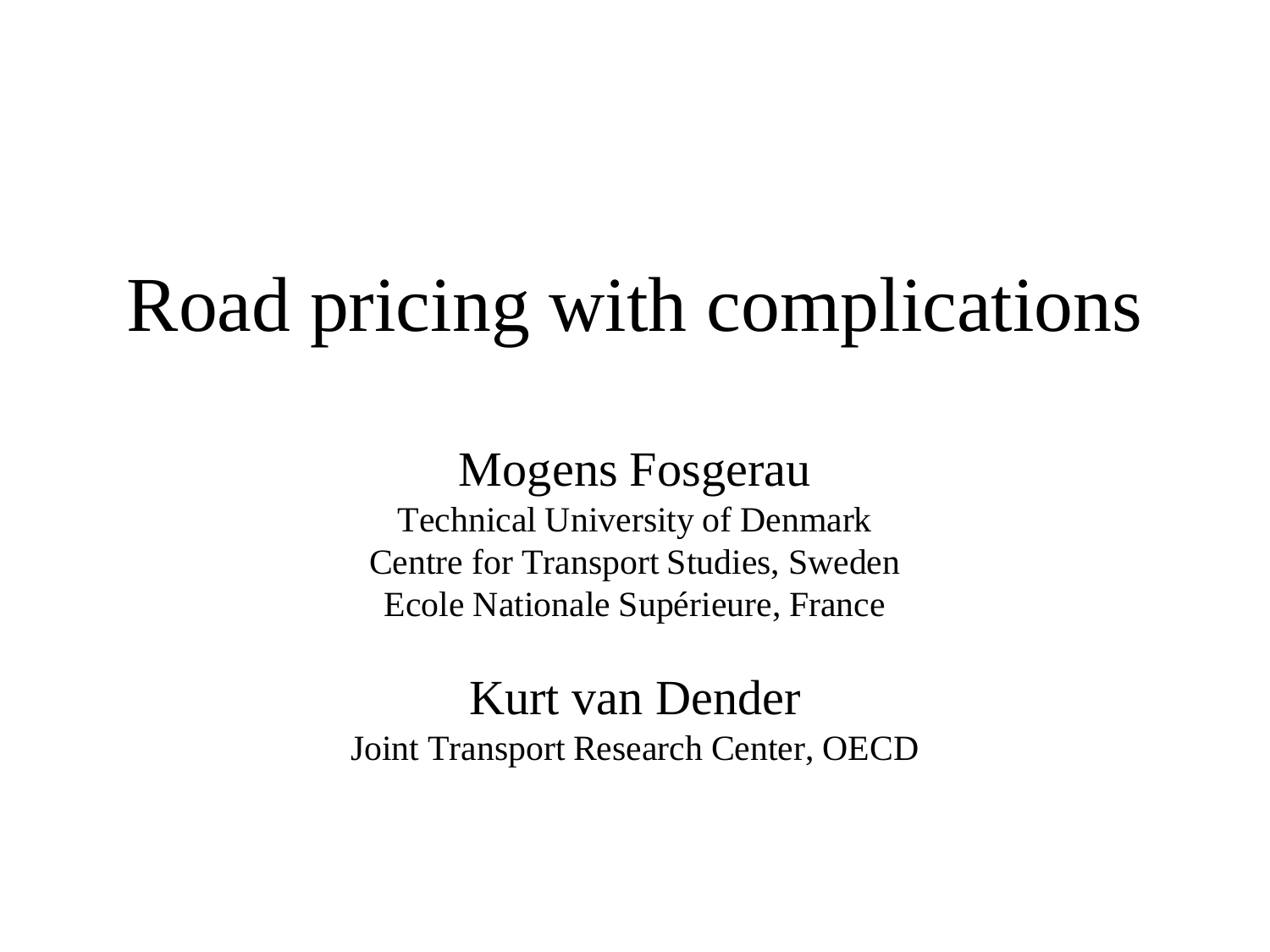#### Road pricing with complications

Mogens Fosgerau Technical University of Denmark Centre for Transport Studies, Sweden Ecole Nationale Supérieure, France

Kurt van Dender Joint Transport Research Center, OECD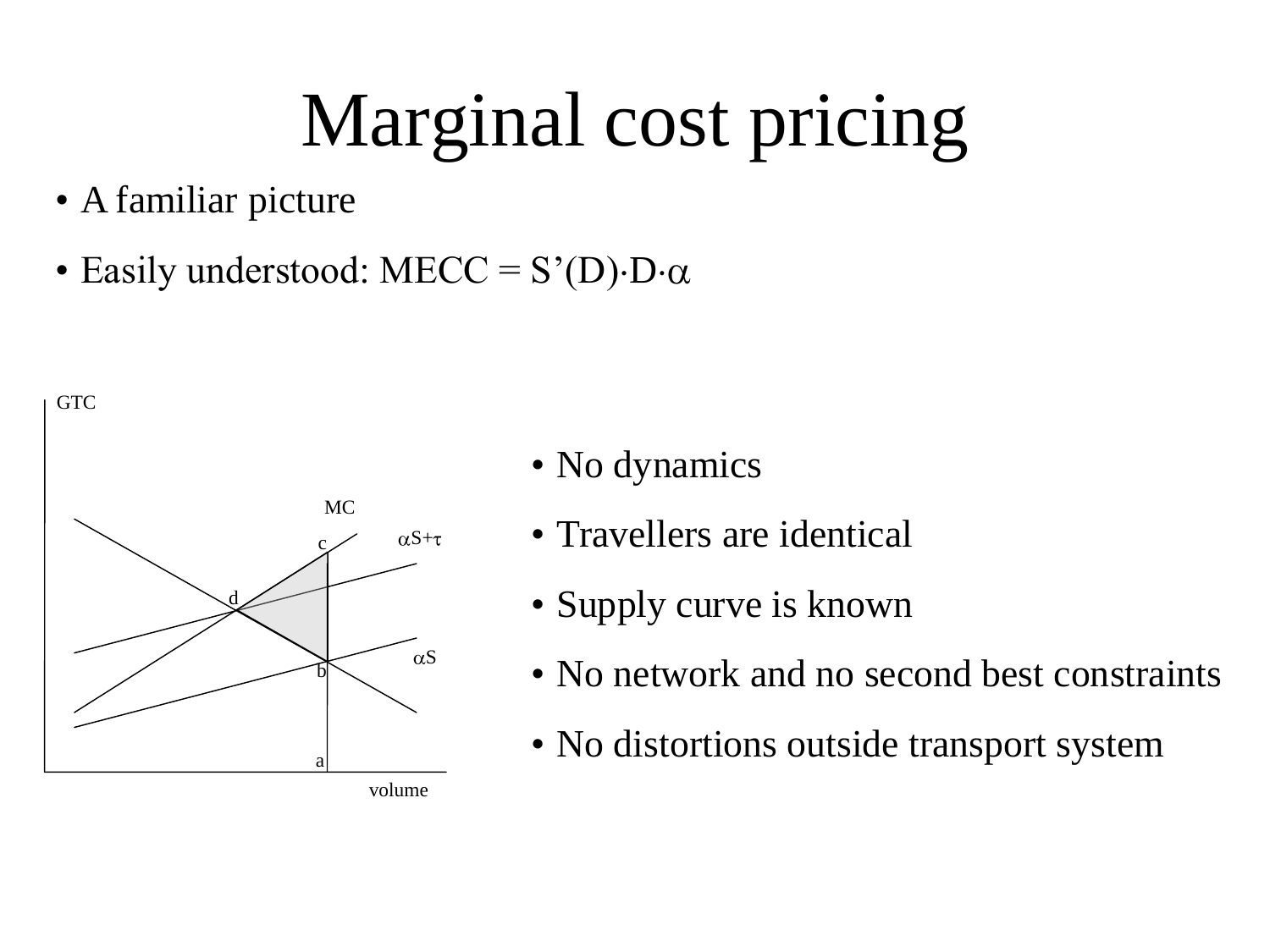## Marginal cost pricing

- A familiar picture
- Easily understood:  $MECC = S'(D) \cdot D \cdot \alpha$



- No dynamics
- Travellers are identical
- Supply curve is known
- No network and no second best constraints
- No distortions outside transport system

volume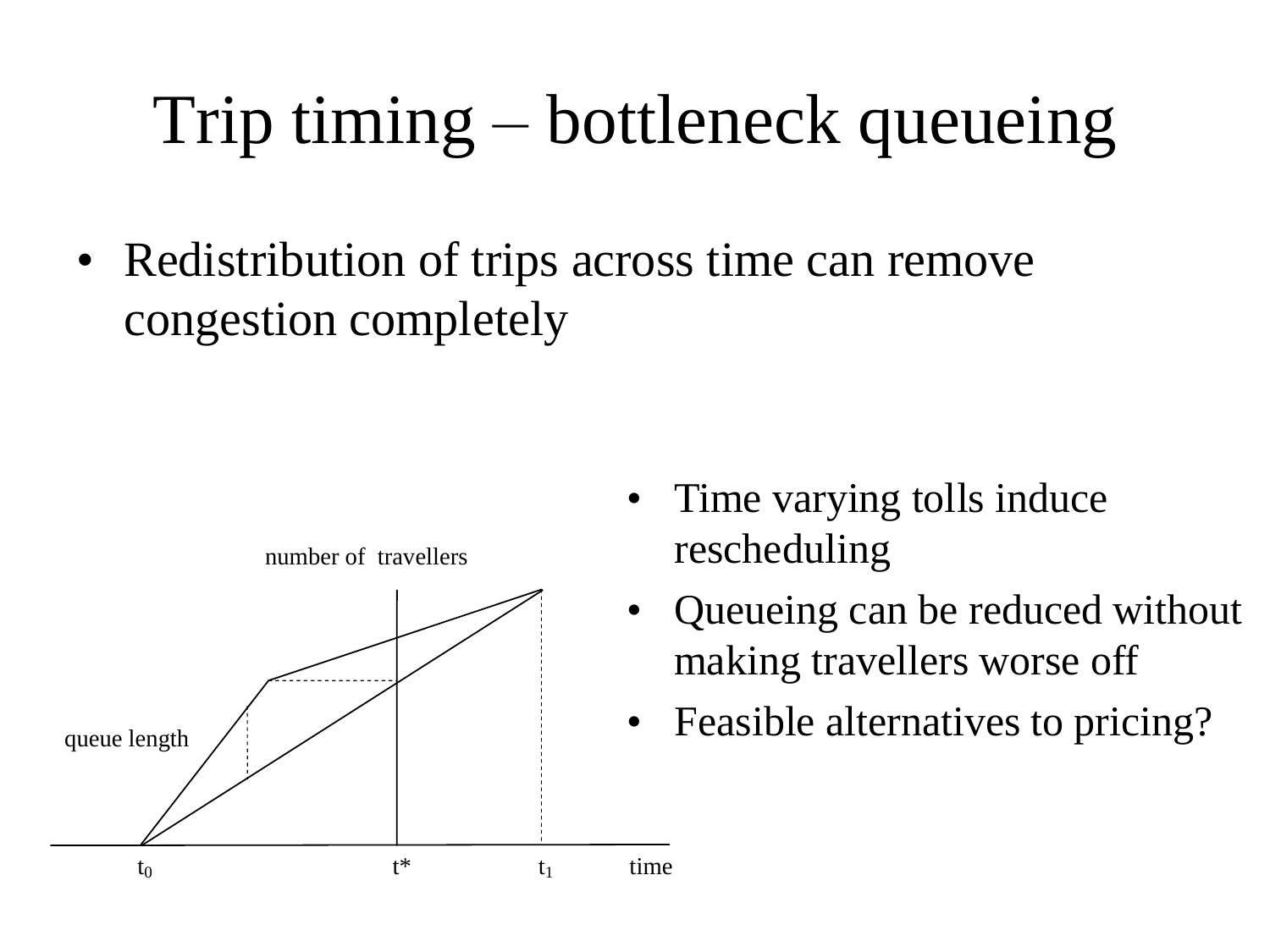#### Trip timing – bottleneck queueing

• Redistribution of trips across time can remove congestion completely



- Time varying tolls induce rescheduling
- Queueing can be reduced without making travellers worse off
- Feasible alternatives to pricing?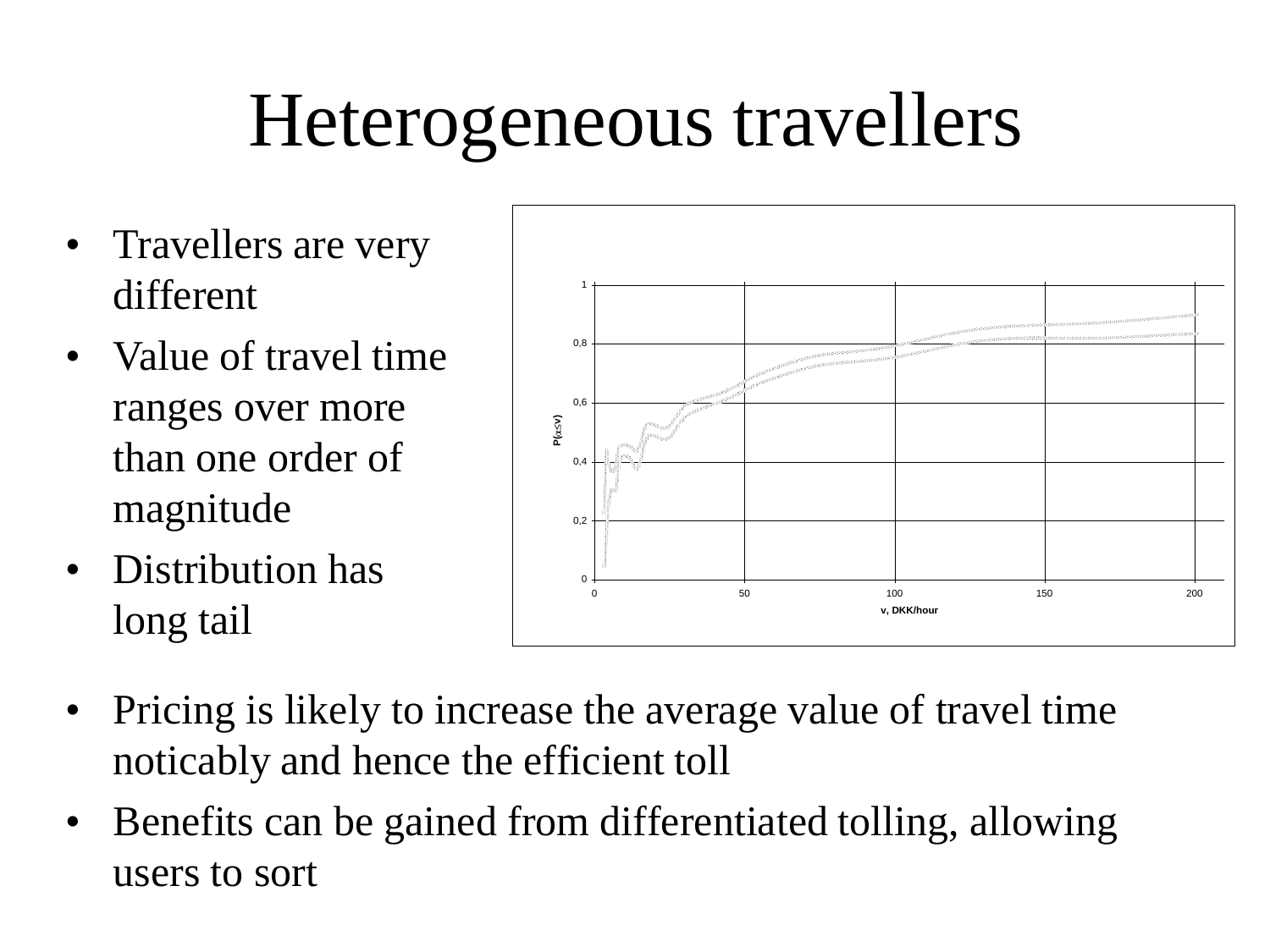## Heterogeneous travellers

- Travellers are very different
- Value of travel time ranges over more than one order of magnitude
- Distribution has long tail



- Pricing is likely to increase the average value of travel time noticably and hence the efficient toll
- Benefits can be gained from differentiated tolling, allowing users to sort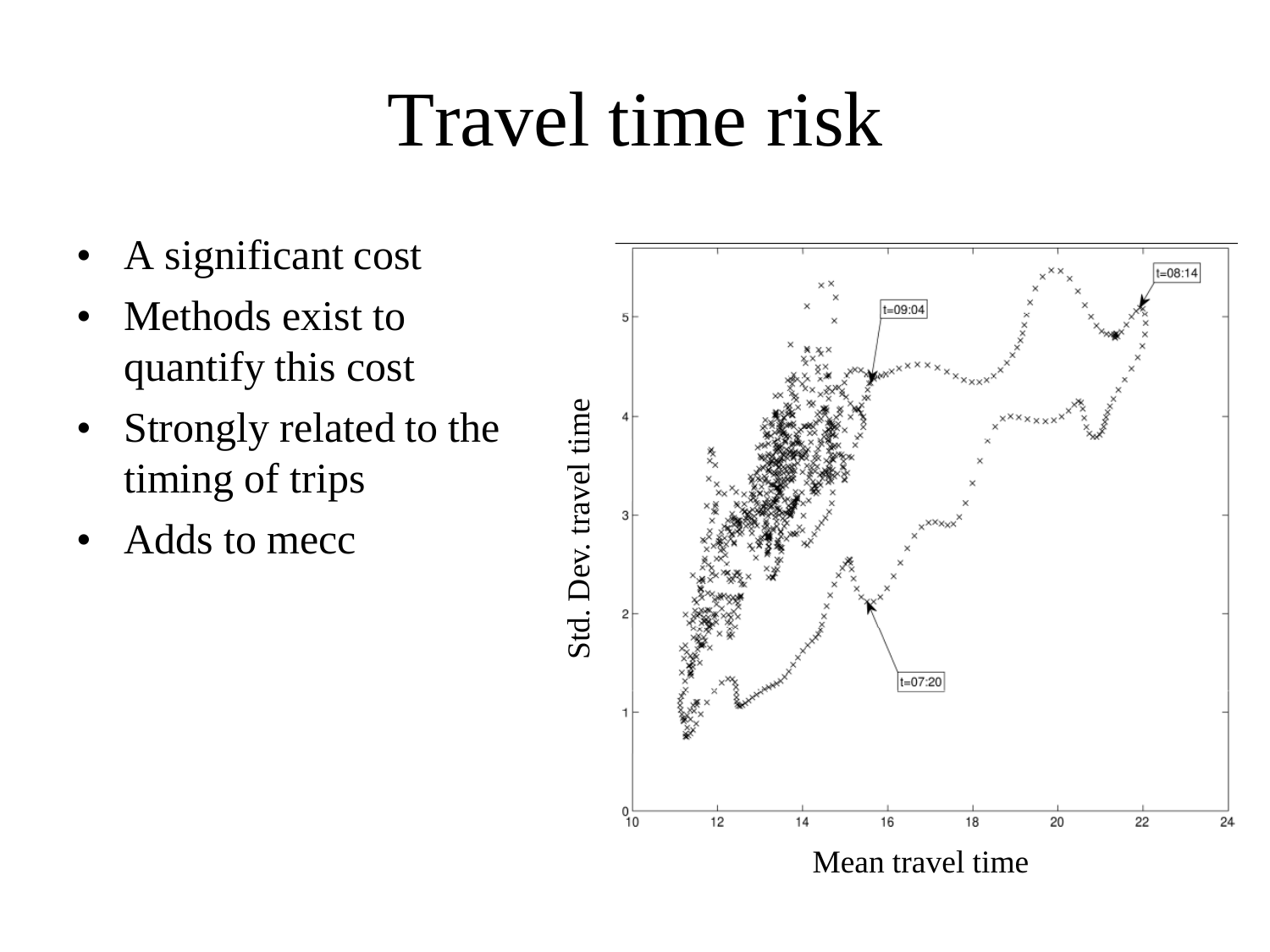#### Travel time risk

- A significant cost
- Methods exist to quantify this cost
- Strongly related to the timing of trips
- Adds to mecc

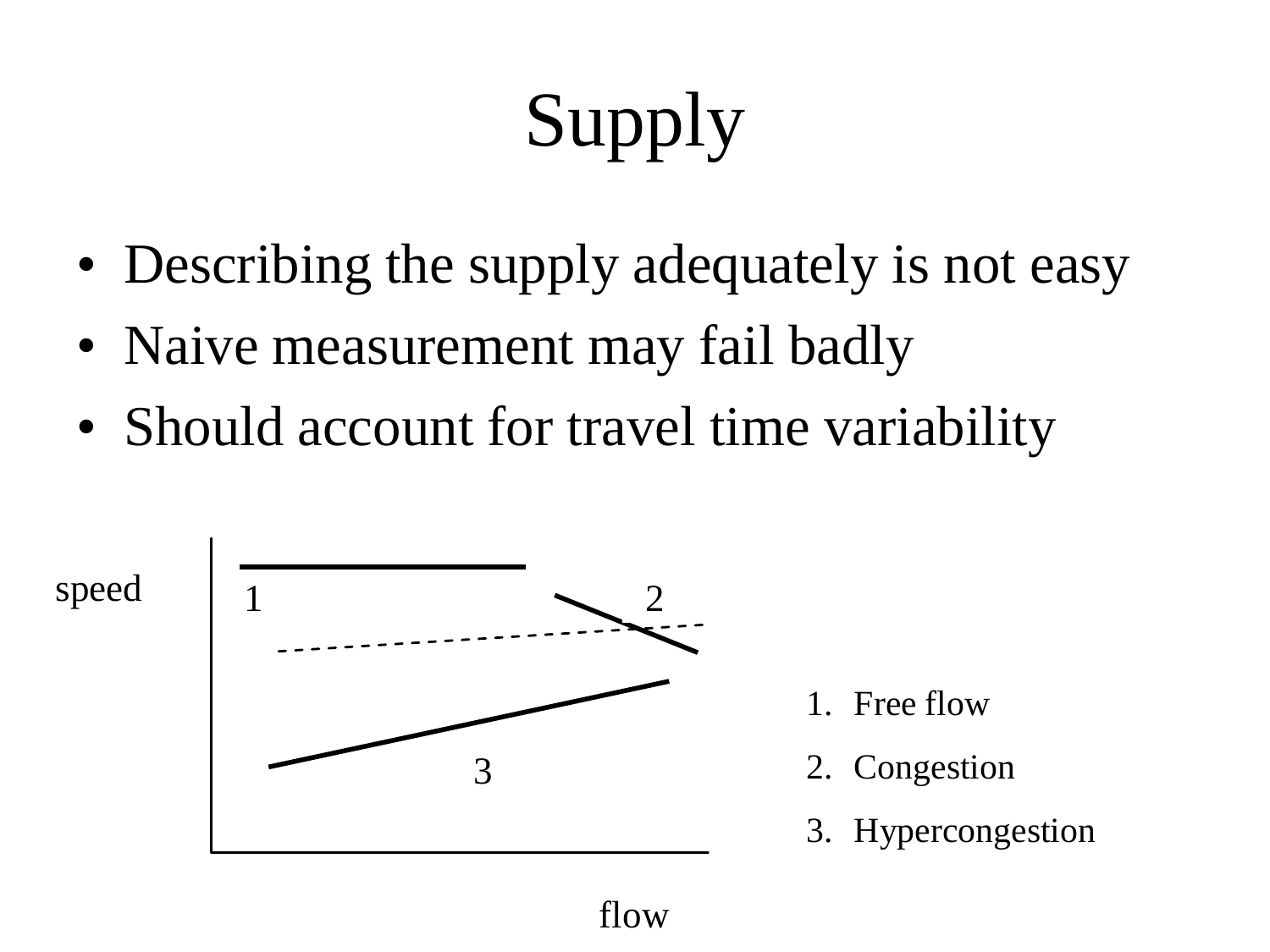# Supply

- Describing the supply adequately is not easy
- Naive measurement may fail badly
- Should account for travel time variability



flow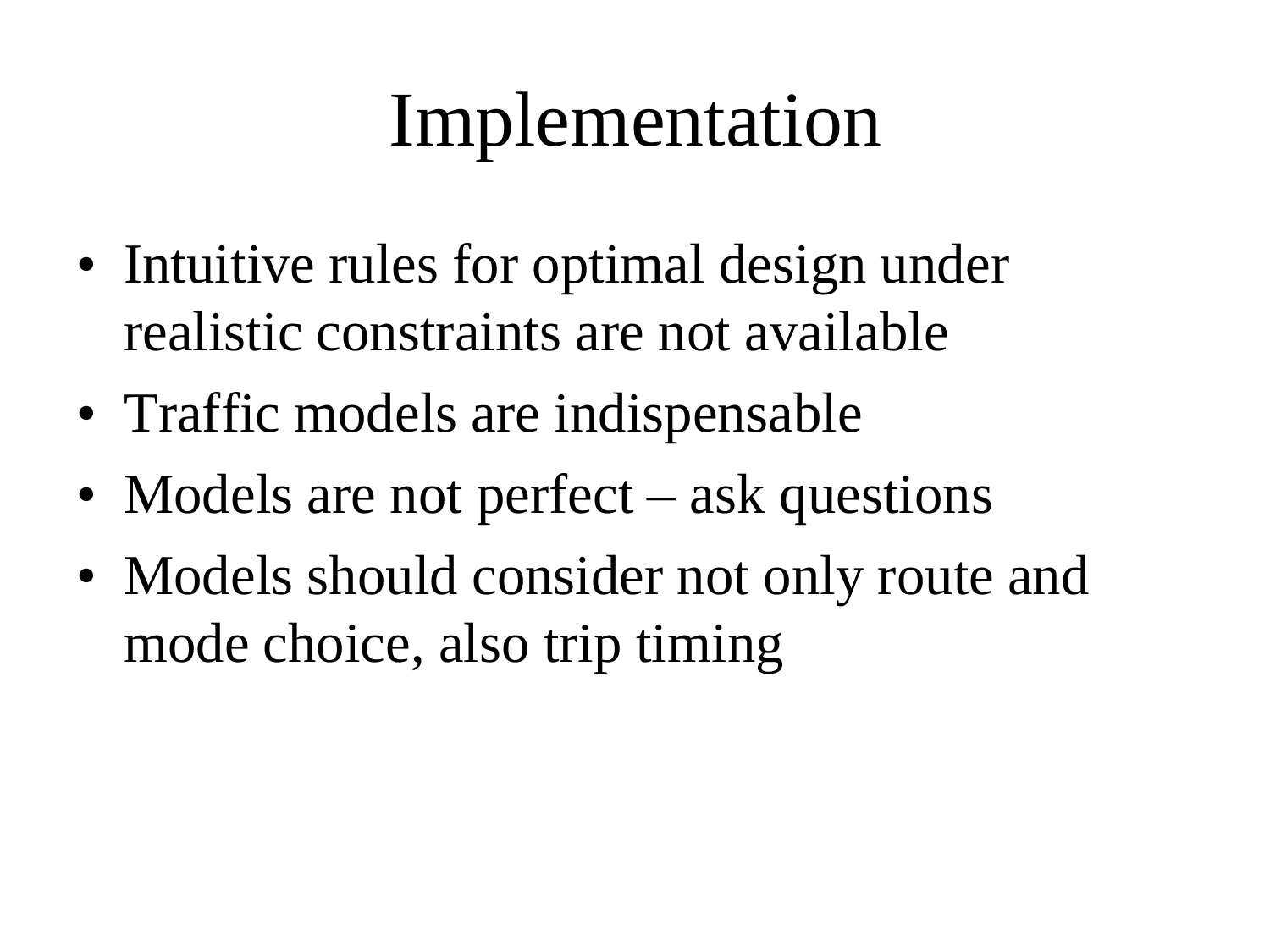## Implementation

- Intuitive rules for optimal design under realistic constraints are not available
- Traffic models are indispensable
- Models are not perfect ask questions
- Models should consider not only route and mode choice, also trip timing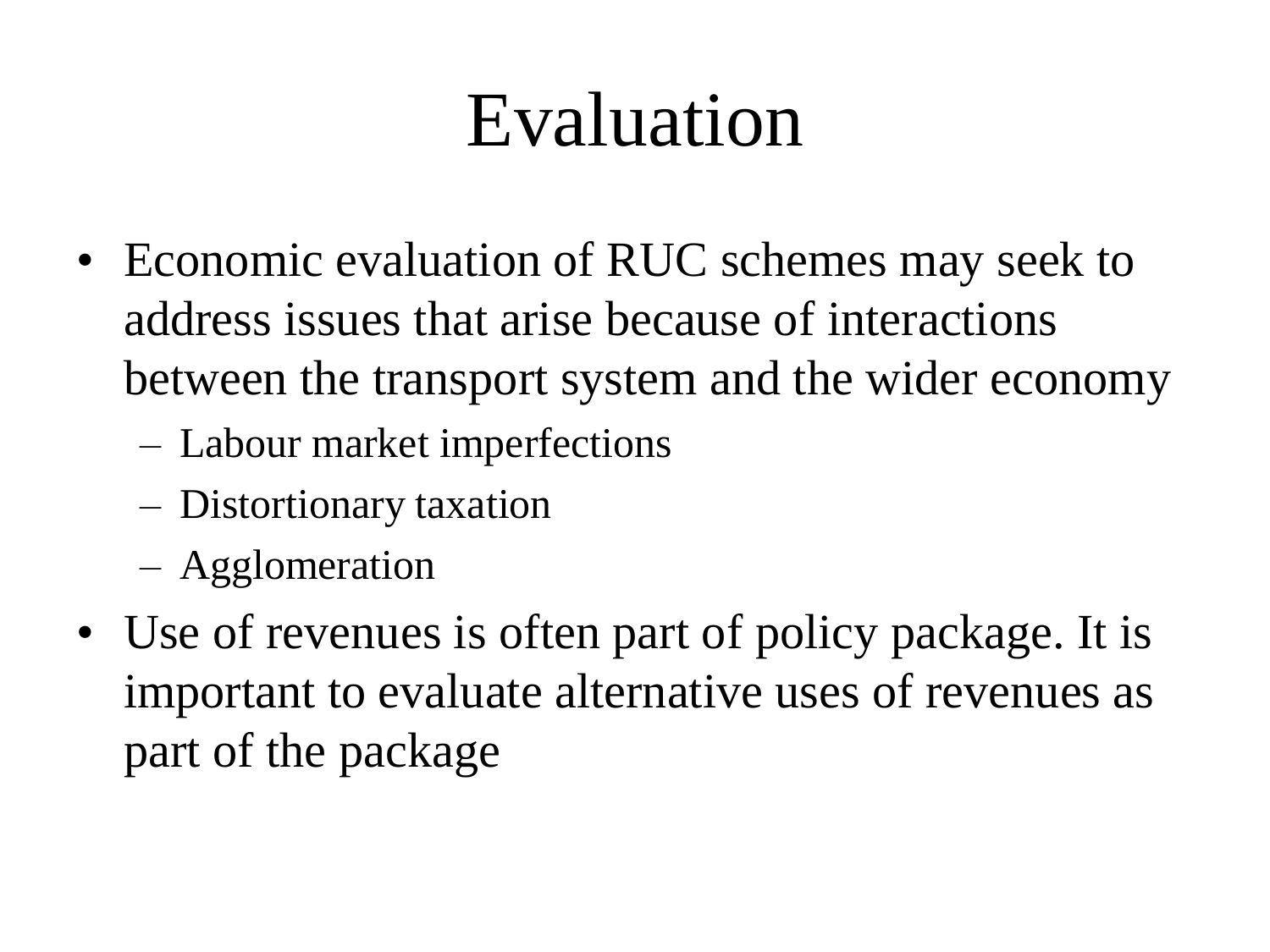#### Evaluation

- Economic evaluation of RUC schemes may seek to address issues that arise because of interactions between the transport system and the wider economy
	- Labour market imperfections
	- Distortionary taxation
	- Agglomeration
- Use of revenues is often part of policy package. It is important to evaluate alternative uses of revenues as part of the package